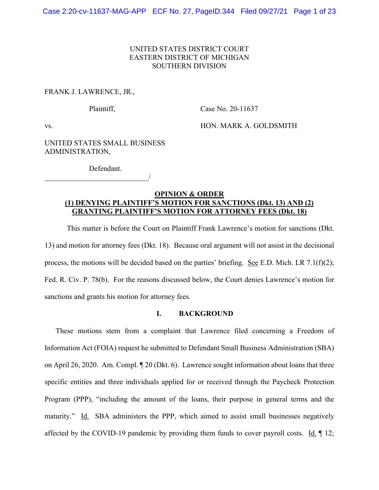## UNITED STATES DISTRICT COURT EASTERN DISTRICT OF MICHIGAN SOUTHERN DIVISION

#### FRANK J. LAWRENCE, JR.,

Plaintiff, Case No. 20-11637

vs. HON. MARK A. GOLDSMITH

UNITED STATES SMALL BUSINESS ADMINISTRATION,

Defendant.

 $\overline{\phantom{a}}$ 

### **OPINION & ORDER (1) DENYING PLAINTIFF'S MOTION FOR SANCTIONS (Dkt. 13) AND (2) GRANTING PLAINTIFF'S MOTION FOR ATTORNEY FEES (Dkt. 18)**

 This matter is before the Court on Plaintiff Frank Lawrence's motion for sanctions (Dkt. 13) and motion for attorney fees (Dkt. 18). Because oral argument will not assist in the decisional process, the motions will be decided based on the parties' briefing. See E.D. Mich. LR 7.1(f)(2); Fed. R. Civ. P. 78(b). For the reasons discussed below, the Court denies Lawrence's motion for sanctions and grants his motion for attorney fees.

# **I. BACKGROUND**

These motions stem from a complaint that Lawrence filed concerning a Freedom of Information Act (FOIA) request he submitted to Defendant Small Business Administration (SBA) on April 26, 2020. Am. Compl. ¶ 20 (Dkt. 6). Lawrence sought information about loans that three specific entities and three individuals applied for or received through the Paycheck Protection Program (PPP), "including the amount of the loans, their purpose in general terms and the maturity." Id. SBA administers the PPP, which aimed to assist small businesses negatively affected by the COVID-19 pandemic by providing them funds to cover payroll costs. Id. ¶ 12;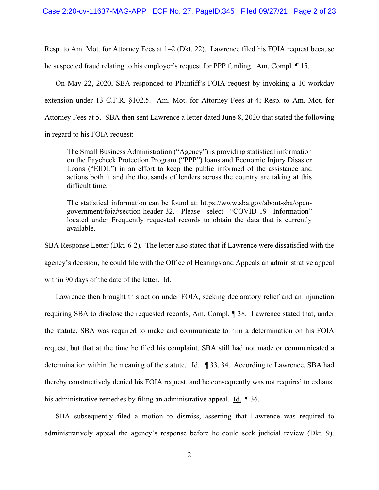Resp. to Am. Mot. for Attorney Fees at 1–2 (Dkt. 22). Lawrence filed his FOIA request because he suspected fraud relating to his employer's request for PPP funding. Am. Compl. ¶ 15.

On May 22, 2020, SBA responded to Plaintiff's FOIA request by invoking a 10-workday extension under 13 C.F.R. §102.5. Am. Mot. for Attorney Fees at 4; Resp. to Am. Mot. for Attorney Fees at 5. SBA then sent Lawrence a letter dated June 8, 2020 that stated the following

in regard to his FOIA request:

The Small Business Administration ("Agency") is providing statistical information on the Paycheck Protection Program ("PPP") loans and Economic Injury Disaster Loans ("EIDL") in an effort to keep the public informed of the assistance and actions both it and the thousands of lenders across the country are taking at this difficult time.

The statistical information can be found at: https://www.sba.gov/about-sba/opengovernment/foia#section-header-32. Please select "COVID-19 Information" located under Frequently requested records to obtain the data that is currently available.

SBA Response Letter (Dkt. 6-2). The letter also stated that if Lawrence were dissatisfied with the

agency's decision, he could file with the Office of Hearings and Appeals an administrative appeal

within 90 days of the date of the letter. Id.

Lawrence then brought this action under FOIA, seeking declaratory relief and an injunction requiring SBA to disclose the requested records, Am. Compl. ¶ 38. Lawrence stated that, under the statute, SBA was required to make and communicate to him a determination on his FOIA request, but that at the time he filed his complaint, SBA still had not made or communicated a determination within the meaning of the statute. Id. ¶ 33, 34. According to Lawrence, SBA had thereby constructively denied his FOIA request, and he consequently was not required to exhaust his administrative remedies by filing an administrative appeal. Id. 1 36.

SBA subsequently filed a motion to dismiss, asserting that Lawrence was required to administratively appeal the agency's response before he could seek judicial review (Dkt. 9).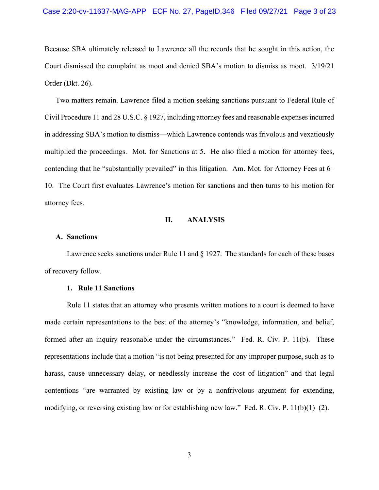Because SBA ultimately released to Lawrence all the records that he sought in this action, the Court dismissed the complaint as moot and denied SBA's motion to dismiss as moot. 3/19/21 Order (Dkt. 26).

Two matters remain. Lawrence filed a motion seeking sanctions pursuant to Federal Rule of Civil Procedure 11 and 28 U.S.C. § 1927, including attorney fees and reasonable expenses incurred in addressing SBA's motion to dismiss—which Lawrence contends was frivolous and vexatiously multiplied the proceedings. Mot. for Sanctions at 5. He also filed a motion for attorney fees, contending that he "substantially prevailed" in this litigation. Am. Mot. for Attorney Fees at 6– 10. The Court first evaluates Lawrence's motion for sanctions and then turns to his motion for attorney fees.

#### **II. ANALYSIS**

#### **A. Sanctions**

Lawrence seeks sanctions under Rule 11 and § 1927. The standards for each of these bases of recovery follow.

#### **1. Rule 11 Sanctions**

Rule 11 states that an attorney who presents written motions to a court is deemed to have made certain representations to the best of the attorney's "knowledge, information, and belief, formed after an inquiry reasonable under the circumstances." Fed. R. Civ. P. 11(b). These representations include that a motion "is not being presented for any improper purpose, such as to harass, cause unnecessary delay, or needlessly increase the cost of litigation" and that legal contentions "are warranted by existing law or by a nonfrivolous argument for extending, modifying, or reversing existing law or for establishing new law." Fed. R. Civ. P.  $11(b)(1)–(2)$ .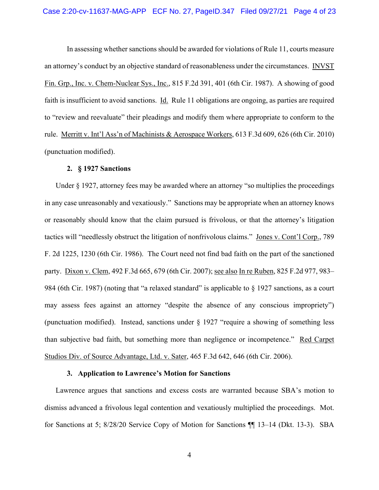In assessing whether sanctions should be awarded for violations of Rule 11, courts measure an attorney's conduct by an objective standard of reasonableness under the circumstances. INVST Fin. Grp., Inc. v. Chem-Nuclear Sys., Inc., 815 F.2d 391, 401 (6th Cir. 1987). A showing of good faith is insufficient to avoid sanctions. Id. Rule 11 obligations are ongoing, as parties are required to "review and reevaluate" their pleadings and modify them where appropriate to conform to the rule. Merritt v. Int'l Ass'n of Machinists & Aerospace Workers, 613 F.3d 609, 626 (6th Cir. 2010) (punctuation modified).

#### **2. § 1927 Sanctions**

Under § 1927, attorney fees may be awarded where an attorney "so multiplies the proceedings in any case unreasonably and vexatiously." Sanctions may be appropriate when an attorney knows or reasonably should know that the claim pursued is frivolous, or that the attorney's litigation tactics will "needlessly obstruct the litigation of nonfrivolous claims." Jones v. Cont'l Corp., 789 F. 2d 1225, 1230 (6th Cir. 1986). The Court need not find bad faith on the part of the sanctioned party. Dixon v. Clem, 492 F.3d 665, 679 (6th Cir. 2007); see also In re Ruben, 825 F.2d 977, 983– 984 (6th Cir. 1987) (noting that "a relaxed standard" is applicable to § 1927 sanctions, as a court may assess fees against an attorney "despite the absence of any conscious impropriety") (punctuation modified). Instead, sanctions under  $\S$  1927 "require a showing of something less than subjective bad faith, but something more than negligence or incompetence." Red Carpet Studios Div. of Source Advantage, Ltd. v. Sater, 465 F.3d 642, 646 (6th Cir. 2006).

#### **3. Application to Lawrence's Motion for Sanctions**

Lawrence argues that sanctions and excess costs are warranted because SBA's motion to dismiss advanced a frivolous legal contention and vexatiously multiplied the proceedings. Mot. for Sanctions at 5; 8/28/20 Service Copy of Motion for Sanctions ¶¶ 13–14 (Dkt. 13-3). SBA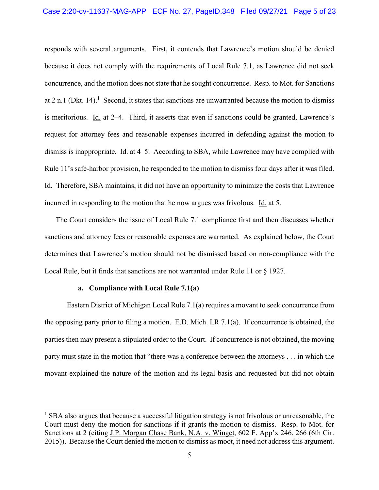responds with several arguments. First, it contends that Lawrence's motion should be denied because it does not comply with the requirements of Local Rule 7.1, as Lawrence did not seek concurrence, and the motion does not state that he sought concurrence. Resp. to Mot. for Sanctions at 2 n.1 (Dkt. 14).<sup>1</sup> Second, it states that sanctions are unwarranted because the motion to dismiss is meritorious. Id. at 2–4. Third, it asserts that even if sanctions could be granted, Lawrence's request for attorney fees and reasonable expenses incurred in defending against the motion to dismiss is inappropriate. Id. at 4–5. According to SBA, while Lawrence may have complied with Rule 11's safe-harbor provision, he responded to the motion to dismiss four days after it was filed. Id. Therefore, SBA maintains, it did not have an opportunity to minimize the costs that Lawrence incurred in responding to the motion that he now argues was frivolous. Id. at 5.

The Court considers the issue of Local Rule 7.1 compliance first and then discusses whether sanctions and attorney fees or reasonable expenses are warranted. As explained below, the Court determines that Lawrence's motion should not be dismissed based on non-compliance with the Local Rule, but it finds that sanctions are not warranted under Rule 11 or § 1927.

#### **a. Compliance with Local Rule 7.1(a)**

Eastern District of Michigan Local Rule 7.1(a) requires a movant to seek concurrence from the opposing party prior to filing a motion. E.D. Mich. LR 7.1(a). If concurrence is obtained, the parties then may present a stipulated order to the Court. If concurrence is not obtained, the moving party must state in the motion that "there was a conference between the attorneys . . . in which the movant explained the nature of the motion and its legal basis and requested but did not obtain

<sup>&</sup>lt;sup>1</sup> SBA also argues that because a successful litigation strategy is not frivolous or unreasonable, the Court must deny the motion for sanctions if it grants the motion to dismiss. Resp. to Mot. for Sanctions at 2 (citing J.P. Morgan Chase Bank, N.A. v. Winget, 602 F. App'x 246, 266 (6th Cir. 2015)). Because the Court denied the motion to dismiss as moot, it need not address this argument.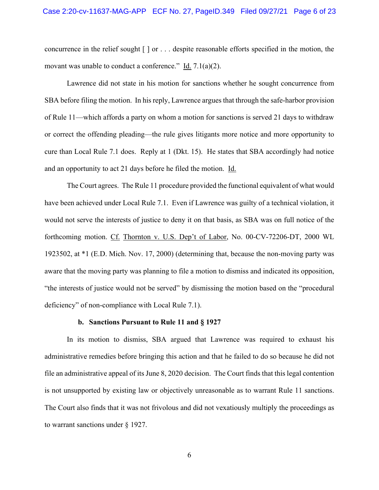concurrence in the relief sought [ ] or . . . despite reasonable efforts specified in the motion, the movant was unable to conduct a conference." Id. 7.1(a)(2).

Lawrence did not state in his motion for sanctions whether he sought concurrence from SBA before filing the motion. In his reply, Lawrence argues that through the safe-harbor provision of Rule 11—which affords a party on whom a motion for sanctions is served 21 days to withdraw or correct the offending pleading—the rule gives litigants more notice and more opportunity to cure than Local Rule 7.1 does. Reply at 1 (Dkt. 15). He states that SBA accordingly had notice and an opportunity to act 21 days before he filed the motion. Id.

The Court agrees. The Rule 11 procedure provided the functional equivalent of what would have been achieved under Local Rule 7.1. Even if Lawrence was guilty of a technical violation, it would not serve the interests of justice to deny it on that basis, as SBA was on full notice of the forthcoming motion. Cf. Thornton v. U.S. Dep't of Labor, No. 00-CV-72206-DT, 2000 WL 1923502, at \*1 (E.D. Mich. Nov. 17, 2000) (determining that, because the non-moving party was aware that the moving party was planning to file a motion to dismiss and indicated its opposition, "the interests of justice would not be served" by dismissing the motion based on the "procedural deficiency" of non-compliance with Local Rule 7.1).

#### **b. Sanctions Pursuant to Rule 11 and § 1927**

In its motion to dismiss, SBA argued that Lawrence was required to exhaust his administrative remedies before bringing this action and that he failed to do so because he did not file an administrative appeal of its June 8, 2020 decision. The Court finds that this legal contention is not unsupported by existing law or objectively unreasonable as to warrant Rule 11 sanctions. The Court also finds that it was not frivolous and did not vexatiously multiply the proceedings as to warrant sanctions under § 1927.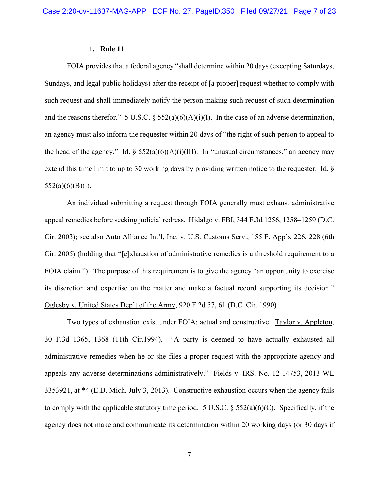#### **1. Rule 11**

FOIA provides that a federal agency "shall determine within 20 days (excepting Saturdays, Sundays, and legal public holidays) after the receipt of [a proper] request whether to comply with such request and shall immediately notify the person making such request of such determination and the reasons therefor." 5 U.S.C.  $\S$  552(a)(6)(A)(i)(I). In the case of an adverse determination, an agency must also inform the requester within 20 days of "the right of such person to appeal to the head of the agency." Id.  $\S$  552(a)(6)(A)(i)(III). In "unusual circumstances," an agency may extend this time limit to up to 30 working days by providing written notice to the requester. Id. §  $552(a)(6)(B)(i)$ .

An individual submitting a request through FOIA generally must exhaust administrative appeal remedies before seeking judicial redress. Hidalgo v. FBI, 344 F.3d 1256, 1258–1259 (D.C. Cir. 2003); see also Auto Alliance Int'l, Inc. v. U.S. Customs Serv., 155 F. App'x 226, 228 (6th Cir. 2005) (holding that "[e]xhaustion of administrative remedies is a threshold requirement to a FOIA claim."). The purpose of this requirement is to give the agency "an opportunity to exercise its discretion and expertise on the matter and make a factual record supporting its decision." Oglesby v. United States Dep't of the Army, 920 F.2d 57, 61 (D.C. Cir. 1990)

Two types of exhaustion exist under FOIA: actual and constructive. Taylor v. Appleton, 30 F.3d 1365, 1368 (11th Cir.1994). "A party is deemed to have actually exhausted all administrative remedies when he or she files a proper request with the appropriate agency and appeals any adverse determinations administratively." Fields v. IRS, No. 12-14753, 2013 WL 3353921, at \*4 (E.D. Mich. July 3, 2013). Constructive exhaustion occurs when the agency fails to comply with the applicable statutory time period. 5 U.S.C.  $\S$  552(a)(6)(C). Specifically, if the agency does not make and communicate its determination within 20 working days (or 30 days if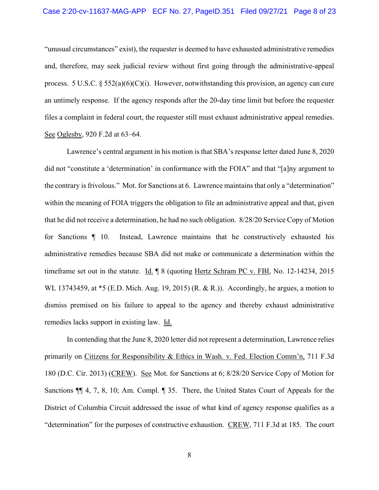"unusual circumstances" exist), the requester is deemed to have exhausted administrative remedies and, therefore, may seek judicial review without first going through the administrative-appeal process. 5 U.S.C. § 552(a)(6)(C)(i). However, notwithstanding this provision, an agency can cure an untimely response. If the agency responds after the 20-day time limit but before the requester files a complaint in federal court, the requester still must exhaust administrative appeal remedies. See Oglesby, 920 F.2d at 63–64.

Lawrence's central argument in his motion is that SBA's response letter dated June 8, 2020 did not "constitute a 'determination' in conformance with the FOIA" and that "[a]ny argument to the contrary is frivolous." Mot. for Sanctions at 6. Lawrence maintains that only a "determination" within the meaning of FOIA triggers the obligation to file an administrative appeal and that, given that he did not receive a determination, he had no such obligation. 8/28/20 Service Copy of Motion for Sanctions ¶ 10. Instead, Lawrence maintains that he constructively exhausted his administrative remedies because SBA did not make or communicate a determination within the timeframe set out in the statute. Id. ¶ 8 (quoting Hertz Schram PC v. FBI, No. 12-14234, 2015 WL 13743459, at \*5 (E.D. Mich. Aug. 19, 2015) (R. & R.)). Accordingly, he argues, a motion to dismiss premised on his failure to appeal to the agency and thereby exhaust administrative remedies lacks support in existing law. Id.

In contending that the June 8, 2020 letter did not represent a determination, Lawrence relies primarily on Citizens for Responsibility & Ethics in Wash. v. Fed. Election Comm'n, 711 F.3d 180 (D.C. Cir. 2013) (CREW). See Mot. for Sanctions at 6; 8/28/20 Service Copy of Motion for Sanctions ¶¶ 4, 7, 8, 10; Am. Compl. ¶ 35. There, the United States Court of Appeals for the District of Columbia Circuit addressed the issue of what kind of agency response qualifies as a "determination" for the purposes of constructive exhaustion. CREW, 711 F.3d at 185. The court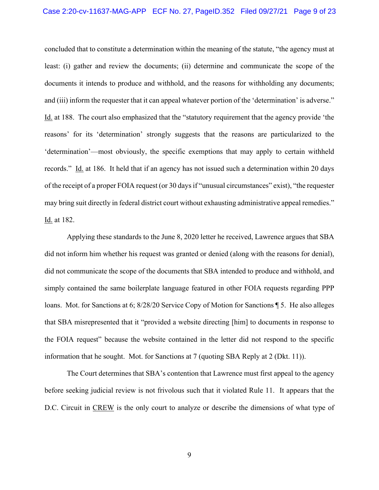# Case 2:20-cv-11637-MAG-APP ECF No. 27, PageID.352 Filed 09/27/21 Page 9 of 23

concluded that to constitute a determination within the meaning of the statute, "the agency must at least: (i) gather and review the documents; (ii) determine and communicate the scope of the documents it intends to produce and withhold, and the reasons for withholding any documents; and (iii) inform the requester that it can appeal whatever portion of the 'determination' is adverse." Id. at 188. The court also emphasized that the "statutory requirement that the agency provide 'the reasons' for its 'determination' strongly suggests that the reasons are particularized to the 'determination'—most obviously, the specific exemptions that may apply to certain withheld records." Id. at 186. It held that if an agency has not issued such a determination within 20 days of the receipt of a proper FOIA request (or 30 days if "unusual circumstances" exist), "the requester may bring suit directly in federal district court without exhausting administrative appeal remedies." Id. at 182.

Applying these standards to the June 8, 2020 letter he received, Lawrence argues that SBA did not inform him whether his request was granted or denied (along with the reasons for denial), did not communicate the scope of the documents that SBA intended to produce and withhold, and simply contained the same boilerplate language featured in other FOIA requests regarding PPP loans. Mot. for Sanctions at 6; 8/28/20 Service Copy of Motion for Sanctions ¶ 5. He also alleges that SBA misrepresented that it "provided a website directing [him] to documents in response to the FOIA request" because the website contained in the letter did not respond to the specific information that he sought. Mot. for Sanctions at 7 (quoting SBA Reply at 2 (Dkt. 11)).

The Court determines that SBA's contention that Lawrence must first appeal to the agency before seeking judicial review is not frivolous such that it violated Rule 11. It appears that the D.C. Circuit in CREW is the only court to analyze or describe the dimensions of what type of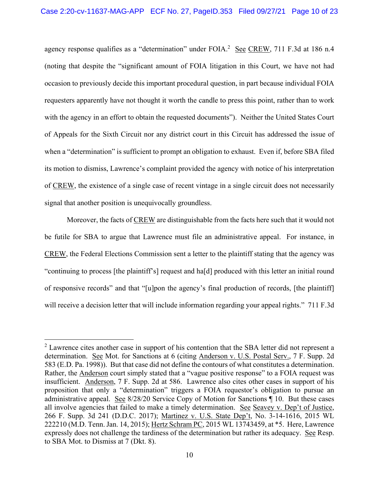agency response qualifies as a "determination" under FOIA.<sup>2</sup> See CREW, 711 F.3d at 186 n.4 (noting that despite the "significant amount of FOIA litigation in this Court, we have not had occasion to previously decide this important procedural question, in part because individual FOIA requesters apparently have not thought it worth the candle to press this point, rather than to work with the agency in an effort to obtain the requested documents"). Neither the United States Court of Appeals for the Sixth Circuit nor any district court in this Circuit has addressed the issue of when a "determination" is sufficient to prompt an obligation to exhaust. Even if, before SBA filed its motion to dismiss, Lawrence's complaint provided the agency with notice of his interpretation of CREW, the existence of a single case of recent vintage in a single circuit does not necessarily signal that another position is unequivocally groundless.

Moreover, the facts of CREW are distinguishable from the facts here such that it would not be futile for SBA to argue that Lawrence must file an administrative appeal. For instance, in CREW, the Federal Elections Commission sent a letter to the plaintiff stating that the agency was "continuing to process [the plaintiff's] request and ha[d] produced with this letter an initial round of responsive records" and that "[u]pon the agency's final production of records, [the plaintiff] will receive a decision letter that will include information regarding your appeal rights." 711 F.3d

 $2$  Lawrence cites another case in support of his contention that the SBA letter did not represent a determination. See Mot. for Sanctions at 6 (citing Anderson v. U.S. Postal Serv., 7 F. Supp. 2d 583 (E.D. Pa. 1998)). But that case did not define the contours of what constitutes a determination. Rather, the Anderson court simply stated that a "vague positive response" to a FOIA request was insufficient. Anderson, 7 F. Supp. 2d at 586. Lawrence also cites other cases in support of his proposition that only a "determination" triggers a FOIA requestor's obligation to pursue an administrative appeal. See 8/28/20 Service Copy of Motion for Sanctions ¶ 10. But these cases all involve agencies that failed to make a timely determination. See Seavey v. Dep't of Justice, 266 F. Supp. 3d 241 (D.D.C. 2017); Martinez v. U.S. State Dep't, No. 3-14-1616, 2015 WL 222210 (M.D. Tenn. Jan. 14, 2015); Hertz Schram PC, 2015 WL 13743459, at \*5. Here, Lawrence expressly does not challenge the tardiness of the determination but rather its adequacy. See Resp. to SBA Mot. to Dismiss at 7 (Dkt. 8).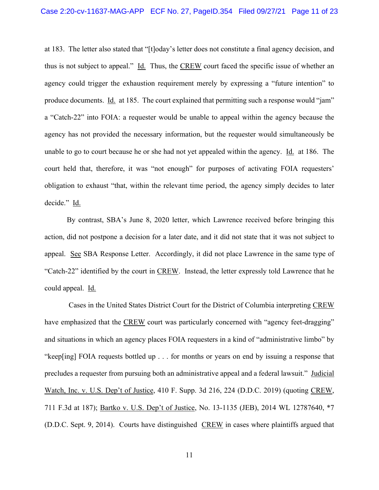at 183. The letter also stated that "[t]oday's letter does not constitute a final agency decision, and thus is not subject to appeal." Id. Thus, the CREW court faced the specific issue of whether an agency could trigger the exhaustion requirement merely by expressing a "future intention" to produce documents. Id. at 185. The court explained that permitting such a response would "jam" a "Catch-22" into FOIA: a requester would be unable to appeal within the agency because the agency has not provided the necessary information, but the requester would simultaneously be unable to go to court because he or she had not yet appealed within the agency. Id. at 186. The court held that, therefore, it was "not enough" for purposes of activating FOIA requesters' obligation to exhaust "that, within the relevant time period, the agency simply decides to later decide." Id.

By contrast, SBA's June 8, 2020 letter, which Lawrence received before bringing this action, did not postpone a decision for a later date, and it did not state that it was not subject to appeal. See SBA Response Letter. Accordingly, it did not place Lawrence in the same type of "Catch-22" identified by the court in CREW. Instead, the letter expressly told Lawrence that he could appeal. Id.

 Cases in the United States District Court for the District of Columbia interpreting CREW have emphasized that the CREW court was particularly concerned with "agency feet-dragging" and situations in which an agency places FOIA requesters in a kind of "administrative limbo" by "keep[ing] FOIA requests bottled up . . . for months or years on end by issuing a response that precludes a requester from pursuing both an administrative appeal and a federal lawsuit." Judicial Watch, Inc. v. U.S. Dep't of Justice, 410 F. Supp. 3d 216, 224 (D.D.C. 2019) (quoting CREW, 711 F.3d at 187); Bartko v. U.S. Dep't of Justice, No. 13-1135 (JEB), 2014 WL 12787640, \*7 (D.D.C. Sept. 9, 2014). Courts have distinguished CREW in cases where plaintiffs argued that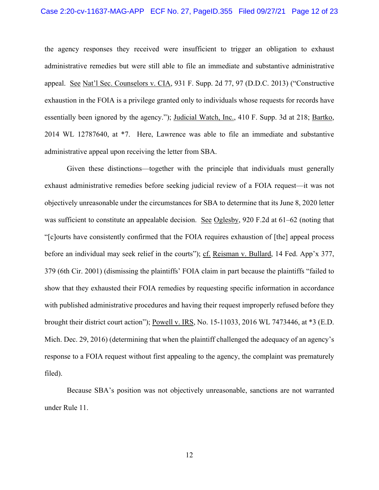the agency responses they received were insufficient to trigger an obligation to exhaust administrative remedies but were still able to file an immediate and substantive administrative appeal. See Nat'l Sec. Counselors v. CIA, 931 F. Supp. 2d 77, 97 (D.D.C. 2013) ("Constructive exhaustion in the FOIA is a privilege granted only to individuals whose requests for records have essentially been ignored by the agency."); Judicial Watch, Inc., 410 F. Supp. 3d at 218; Bartko, 2014 WL 12787640, at \*7. Here, Lawrence was able to file an immediate and substantive administrative appeal upon receiving the letter from SBA.

Given these distinctions—together with the principle that individuals must generally exhaust administrative remedies before seeking judicial review of a FOIA request—it was not objectively unreasonable under the circumstances for SBA to determine that its June 8, 2020 letter was sufficient to constitute an appealable decision. See Oglesby, 920 F.2d at 61–62 (noting that "[c]ourts have consistently confirmed that the FOIA requires exhaustion of [the] appeal process before an individual may seek relief in the courts"); cf. Reisman v. Bullard, 14 Fed. App'x 377, 379 (6th Cir. 2001) (dismissing the plaintiffs' FOIA claim in part because the plaintiffs "failed to show that they exhausted their FOIA remedies by requesting specific information in accordance with published administrative procedures and having their request improperly refused before they brought their district court action"); Powell v. IRS, No. 15-11033, 2016 WL 7473446, at \*3 (E.D. Mich. Dec. 29, 2016) (determining that when the plaintiff challenged the adequacy of an agency's response to a FOIA request without first appealing to the agency, the complaint was prematurely filed).

Because SBA's position was not objectively unreasonable, sanctions are not warranted under Rule 11.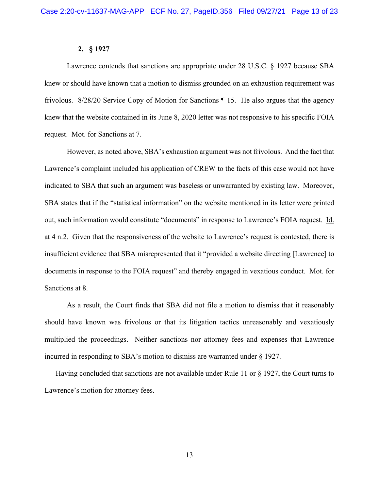#### **2. § 1927**

 Lawrence contends that sanctions are appropriate under 28 U.S.C. § 1927 because SBA knew or should have known that a motion to dismiss grounded on an exhaustion requirement was frivolous. 8/28/20 Service Copy of Motion for Sanctions ¶ 15. He also argues that the agency knew that the website contained in its June 8, 2020 letter was not responsive to his specific FOIA request. Mot. for Sanctions at 7.

However, as noted above, SBA's exhaustion argument was not frivolous. And the fact that Lawrence's complaint included his application of CREW to the facts of this case would not have indicated to SBA that such an argument was baseless or unwarranted by existing law. Moreover, SBA states that if the "statistical information" on the website mentioned in its letter were printed out, such information would constitute "documents" in response to Lawrence's FOIA request. Id. at 4 n.2. Given that the responsiveness of the website to Lawrence's request is contested, there is insufficient evidence that SBA misrepresented that it "provided a website directing [Lawrence] to documents in response to the FOIA request" and thereby engaged in vexatious conduct. Mot. for Sanctions at 8.

 As a result, the Court finds that SBA did not file a motion to dismiss that it reasonably should have known was frivolous or that its litigation tactics unreasonably and vexatiously multiplied the proceedings. Neither sanctions nor attorney fees and expenses that Lawrence incurred in responding to SBA's motion to dismiss are warranted under § 1927.

Having concluded that sanctions are not available under Rule 11 or § 1927, the Court turns to Lawrence's motion for attorney fees.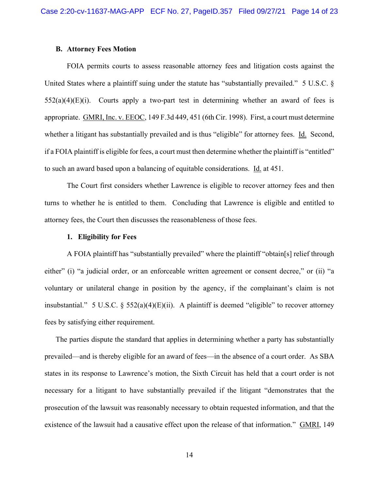#### **B. Attorney Fees Motion**

FOIA permits courts to assess reasonable attorney fees and litigation costs against the United States where a plaintiff suing under the statute has "substantially prevailed." 5 U.S.C. §  $552(a)(4)(E)(i)$ . Courts apply a two-part test in determining whether an award of fees is appropriate. GMRI, Inc. v. EEOC, 149 F.3d 449, 451 (6th Cir. 1998). First, a court must determine whether a litigant has substantially prevailed and is thus "eligible" for attorney fees. Id. Second, if a FOIA plaintiff is eligible for fees, a court must then determine whether the plaintiff is "entitled" to such an award based upon a balancing of equitable considerations. Id. at 451.

The Court first considers whether Lawrence is eligible to recover attorney fees and then turns to whether he is entitled to them. Concluding that Lawrence is eligible and entitled to attorney fees, the Court then discusses the reasonableness of those fees.

#### **1. Eligibility for Fees**

 A FOIA plaintiff has "substantially prevailed" where the plaintiff "obtain[s] relief through either" (i) "a judicial order, or an enforceable written agreement or consent decree," or (ii) "a voluntary or unilateral change in position by the agency, if the complainant's claim is not insubstantial." 5 U.S.C.  $\S$  552(a)(4)(E)(ii). A plaintiff is deemed "eligible" to recover attorney fees by satisfying either requirement.

The parties dispute the standard that applies in determining whether a party has substantially prevailed—and is thereby eligible for an award of fees—in the absence of a court order. As SBA states in its response to Lawrence's motion, the Sixth Circuit has held that a court order is not necessary for a litigant to have substantially prevailed if the litigant "demonstrates that the prosecution of the lawsuit was reasonably necessary to obtain requested information, and that the existence of the lawsuit had a causative effect upon the release of that information." GMRI, 149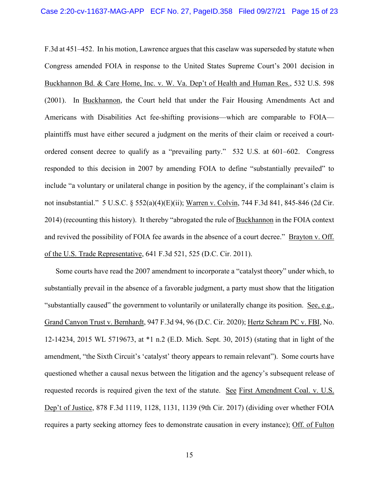F.3d at 451–452. In his motion, Lawrence argues that this caselaw was superseded by statute when Congress amended FOIA in response to the United States Supreme Court's 2001 decision in Buckhannon Bd. & Care Home, Inc. v. W. Va. Dep't of Health and Human Res., 532 U.S. 598 (2001). In Buckhannon, the Court held that under the Fair Housing Amendments Act and Americans with Disabilities Act fee-shifting provisions—which are comparable to FOIA plaintiffs must have either secured a judgment on the merits of their claim or received a courtordered consent decree to qualify as a "prevailing party." 532 U.S. at 601–602. Congress responded to this decision in 2007 by amending FOIA to define "substantially prevailed" to include "a voluntary or unilateral change in position by the agency, if the complainant's claim is not insubstantial." 5 U.S.C. § 552(a)(4)(E)(ii); Warren v. Colvin, 744 F.3d 841, 845-846 (2d Cir. 2014) (recounting this history). It thereby "abrogated the rule of Buckhannon in the FOIA context and revived the possibility of FOIA fee awards in the absence of a court decree." Brayton v. Off. of the U.S. Trade Representative, 641 F.3d 521, 525 (D.C. Cir. 2011).

Some courts have read the 2007 amendment to incorporate a "catalyst theory" under which, to substantially prevail in the absence of a favorable judgment, a party must show that the litigation "substantially caused" the government to voluntarily or unilaterally change its position. See, e.g., Grand Canyon Trust v. Bernhardt, 947 F.3d 94, 96 (D.C. Cir. 2020); Hertz Schram PC v. FBI, No. 12-14234, 2015 WL 5719673, at \*1 n.2 (E.D. Mich. Sept. 30, 2015) (stating that in light of the amendment, "the Sixth Circuit's 'catalyst' theory appears to remain relevant"). Some courts have questioned whether a causal nexus between the litigation and the agency's subsequent release of requested records is required given the text of the statute. See First Amendment Coal. v. U.S. Dep't of Justice, 878 F.3d 1119, 1128, 1131, 1139 (9th Cir. 2017) (dividing over whether FOIA requires a party seeking attorney fees to demonstrate causation in every instance); Off. of Fulton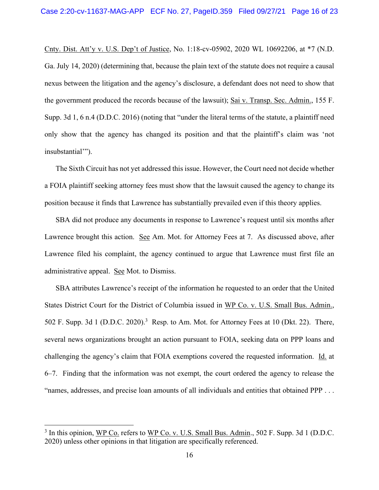Cnty. Dist. Att'y v. U.S. Dep't of Justice, No. 1:18-cv-05902, 2020 WL 10692206, at \*7 (N.D. Ga. July 14, 2020) (determining that, because the plain text of the statute does not require a causal nexus between the litigation and the agency's disclosure, a defendant does not need to show that the government produced the records because of the lawsuit); Sai v. Transp. Sec. Admin., 155 F. Supp. 3d 1, 6 n.4 (D.D.C. 2016) (noting that "under the literal terms of the statute, a plaintiff need only show that the agency has changed its position and that the plaintiff's claim was 'not insubstantial'").

The Sixth Circuit has not yet addressed this issue. However, the Court need not decide whether a FOIA plaintiff seeking attorney fees must show that the lawsuit caused the agency to change its position because it finds that Lawrence has substantially prevailed even if this theory applies.

SBA did not produce any documents in response to Lawrence's request until six months after Lawrence brought this action. See Am. Mot. for Attorney Fees at 7. As discussed above, after Lawrence filed his complaint, the agency continued to argue that Lawrence must first file an administrative appeal. See Mot. to Dismiss.

SBA attributes Lawrence's receipt of the information he requested to an order that the United States District Court for the District of Columbia issued in WP Co. v. U.S. Small Bus. Admin., 502 F. Supp. 3d 1 (D.D.C. 2020).<sup>3</sup> Resp. to Am. Mot. for Attorney Fees at 10 (Dkt. 22). There, several news organizations brought an action pursuant to FOIA, seeking data on PPP loans and challenging the agency's claim that FOIA exemptions covered the requested information. Id. at 6–7. Finding that the information was not exempt, the court ordered the agency to release the "names, addresses, and precise loan amounts of all individuals and entities that obtained PPP . . .

<sup>&</sup>lt;sup>3</sup> In this opinion, WP Co. refers to WP Co. v. U.S. Small Bus. Admin., 502 F. Supp. 3d 1 (D.D.C. 2020) unless other opinions in that litigation are specifically referenced.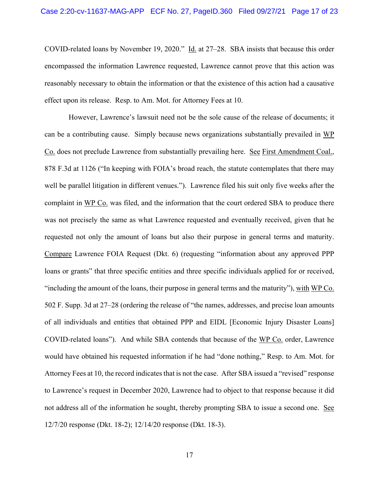COVID-related loans by November 19, 2020." Id. at 27–28. SBA insists that because this order encompassed the information Lawrence requested, Lawrence cannot prove that this action was reasonably necessary to obtain the information or that the existence of this action had a causative effect upon its release. Resp. to Am. Mot. for Attorney Fees at 10.

 However, Lawrence's lawsuit need not be the sole cause of the release of documents; it can be a contributing cause. Simply because news organizations substantially prevailed in WP Co. does not preclude Lawrence from substantially prevailing here. See First Amendment Coal., 878 F.3d at 1126 ("In keeping with FOIA's broad reach, the statute contemplates that there may well be parallel litigation in different venues."). Lawrence filed his suit only five weeks after the complaint in WP Co. was filed, and the information that the court ordered SBA to produce there was not precisely the same as what Lawrence requested and eventually received, given that he requested not only the amount of loans but also their purpose in general terms and maturity. Compare Lawrence FOIA Request (Dkt. 6) (requesting "information about any approved PPP loans or grants" that three specific entities and three specific individuals applied for or received, "including the amount of the loans, their purpose in general terms and the maturity"), with WP Co. 502 F. Supp. 3d at 27–28 (ordering the release of "the names, addresses, and precise loan amounts of all individuals and entities that obtained PPP and EIDL [Economic Injury Disaster Loans] COVID-related loans"). And while SBA contends that because of the WP Co. order, Lawrence would have obtained his requested information if he had "done nothing," Resp. to Am. Mot. for Attorney Fees at 10, the record indicates that is not the case. After SBA issued a "revised" response to Lawrence's request in December 2020, Lawrence had to object to that response because it did not address all of the information he sought, thereby prompting SBA to issue a second one. See 12/7/20 response (Dkt. 18-2); 12/14/20 response (Dkt. 18-3).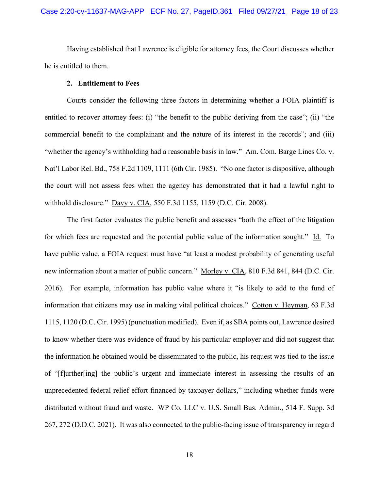Having established that Lawrence is eligible for attorney fees, the Court discusses whether he is entitled to them.

#### **2. Entitlement to Fees**

Courts consider the following three factors in determining whether a FOIA plaintiff is entitled to recover attorney fees: (i) "the benefit to the public deriving from the case"; (ii) "the commercial benefit to the complainant and the nature of its interest in the records"; and (iii) "whether the agency's withholding had a reasonable basis in law." Am. Com. Barge Lines Co. v. Nat'l Labor Rel. Bd., 758 F.2d 1109, 1111 (6th Cir. 1985). "No one factor is dispositive, although the court will not assess fees when the agency has demonstrated that it had a lawful right to withhold disclosure." Davy v. CIA, 550 F.3d 1155, 1159 (D.C. Cir. 2008).

The first factor evaluates the public benefit and assesses "both the effect of the litigation for which fees are requested and the potential public value of the information sought." Id. To have public value, a FOIA request must have "at least a modest probability of generating useful new information about a matter of public concern." Morley v. CIA, 810 F.3d 841, 844 (D.C. Cir. 2016). For example, information has public value where it "is likely to add to the fund of information that citizens may use in making vital political choices." Cotton v. Heyman, 63 F.3d 1115, 1120 (D.C. Cir. 1995) (punctuation modified). Even if, as SBA points out, Lawrence desired to know whether there was evidence of fraud by his particular employer and did not suggest that the information he obtained would be disseminated to the public, his request was tied to the issue of "[f]urther[ing] the public's urgent and immediate interest in assessing the results of an unprecedented federal relief effort financed by taxpayer dollars," including whether funds were distributed without fraud and waste. WP Co. LLC v. U.S. Small Bus. Admin., 514 F. Supp. 3d 267, 272 (D.D.C. 2021). It was also connected to the public-facing issue of transparency in regard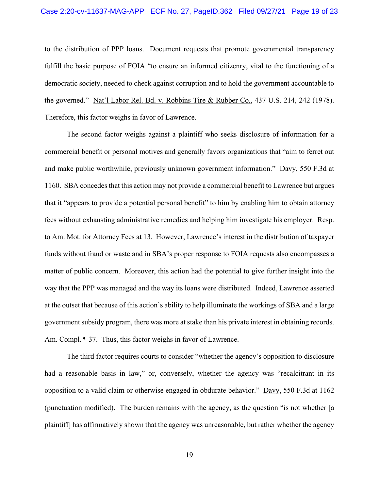to the distribution of PPP loans. Document requests that promote governmental transparency fulfill the basic purpose of FOIA "to ensure an informed citizenry, vital to the functioning of a democratic society, needed to check against corruption and to hold the government accountable to the governed." Nat'l Labor Rel. Bd. v. Robbins Tire & Rubber Co., 437 U.S. 214, 242 (1978). Therefore, this factor weighs in favor of Lawrence.

The second factor weighs against a plaintiff who seeks disclosure of information for a commercial benefit or personal motives and generally favors organizations that "aim to ferret out and make public worthwhile, previously unknown government information." Davy, 550 F.3d at 1160. SBA concedes that this action may not provide a commercial benefit to Lawrence but argues that it "appears to provide a potential personal benefit" to him by enabling him to obtain attorney fees without exhausting administrative remedies and helping him investigate his employer. Resp. to Am. Mot. for Attorney Fees at 13. However, Lawrence's interest in the distribution of taxpayer funds without fraud or waste and in SBA's proper response to FOIA requests also encompasses a matter of public concern. Moreover, this action had the potential to give further insight into the way that the PPP was managed and the way its loans were distributed. Indeed, Lawrence asserted at the outset that because of this action's ability to help illuminate the workings of SBA and a large government subsidy program, there was more at stake than his private interest in obtaining records. Am. Compl. 1 37. Thus, this factor weighs in favor of Lawrence.

 The third factor requires courts to consider "whether the agency's opposition to disclosure had a reasonable basis in law," or, conversely, whether the agency was "recalcitrant in its opposition to a valid claim or otherwise engaged in obdurate behavior." Davy, 550 F.3d at 1162 (punctuation modified). The burden remains with the agency, as the question "is not whether [a plaintiff] has affirmatively shown that the agency was unreasonable, but rather whether the agency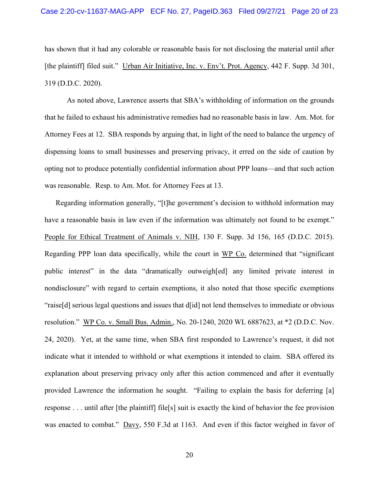has shown that it had any colorable or reasonable basis for not disclosing the material until after [the plaintiff] filed suit." Urban Air Initiative, Inc. v. Env't. Prot. Agency, 442 F. Supp. 3d 301, 319 (D.D.C. 2020).

 As noted above, Lawrence asserts that SBA's withholding of information on the grounds that he failed to exhaust his administrative remedies had no reasonable basis in law. Am. Mot. for Attorney Fees at 12. SBA responds by arguing that, in light of the need to balance the urgency of dispensing loans to small businesses and preserving privacy, it erred on the side of caution by opting not to produce potentially confidential information about PPP loans—and that such action was reasonable. Resp. to Am. Mot. for Attorney Fees at 13.

Regarding information generally, "[t]he government's decision to withhold information may have a reasonable basis in law even if the information was ultimately not found to be exempt." People for Ethical Treatment of Animals v. NIH, 130 F. Supp. 3d 156, 165 (D.D.C. 2015). Regarding PPP loan data specifically, while the court in WP Co. determined that "significant public interest" in the data "dramatically outweigh[ed] any limited private interest in nondisclosure" with regard to certain exemptions, it also noted that those specific exemptions "raise[d] serious legal questions and issues that d[id] not lend themselves to immediate or obvious resolution." WP Co. v. Small Bus. Admin., No. 20-1240, 2020 WL 6887623, at \*2 (D.D.C. Nov. 24, 2020). Yet, at the same time, when SBA first responded to Lawrence's request, it did not indicate what it intended to withhold or what exemptions it intended to claim. SBA offered its explanation about preserving privacy only after this action commenced and after it eventually provided Lawrence the information he sought. "Failing to explain the basis for deferring [a] response . . . until after [the plaintiff] file[s] suit is exactly the kind of behavior the fee provision was enacted to combat." Davy, 550 F.3d at 1163. And even if this factor weighed in favor of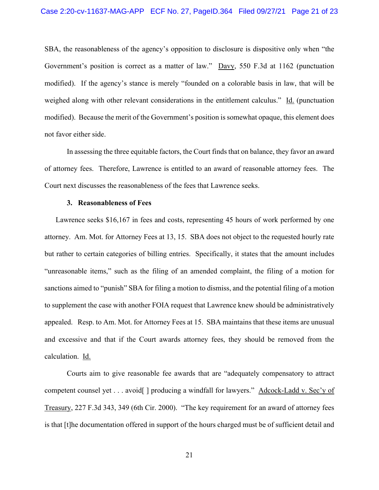SBA, the reasonableness of the agency's opposition to disclosure is dispositive only when "the Government's position is correct as a matter of law." Davy, 550 F.3d at 1162 (punctuation modified). If the agency's stance is merely "founded on a colorable basis in law, that will be weighed along with other relevant considerations in the entitlement calculus." Id. (punctuation modified). Because the merit of the Government's position is somewhat opaque, this element does not favor either side.

 In assessing the three equitable factors, the Court finds that on balance, they favor an award of attorney fees. Therefore, Lawrence is entitled to an award of reasonable attorney fees. The Court next discusses the reasonableness of the fees that Lawrence seeks.

#### **3. Reasonableness of Fees**

Lawrence seeks \$16,167 in fees and costs, representing 45 hours of work performed by one attorney. Am. Mot. for Attorney Fees at 13, 15. SBA does not object to the requested hourly rate but rather to certain categories of billing entries. Specifically, it states that the amount includes "unreasonable items," such as the filing of an amended complaint, the filing of a motion for sanctions aimed to "punish" SBA for filing a motion to dismiss, and the potential filing of a motion to supplement the case with another FOIA request that Lawrence knew should be administratively appealed. Resp. to Am. Mot. for Attorney Fees at 15. SBA maintains that these items are unusual and excessive and that if the Court awards attorney fees, they should be removed from the calculation. Id.

 Courts aim to give reasonable fee awards that are "adequately compensatory to attract competent counsel yet . . . avoid | producing a windfall for lawyers." Adcock-Ladd v. Sec'y of Treasury, 227 F.3d 343, 349 (6th Cir. 2000). "The key requirement for an award of attorney fees is that [t]he documentation offered in support of the hours charged must be of sufficient detail and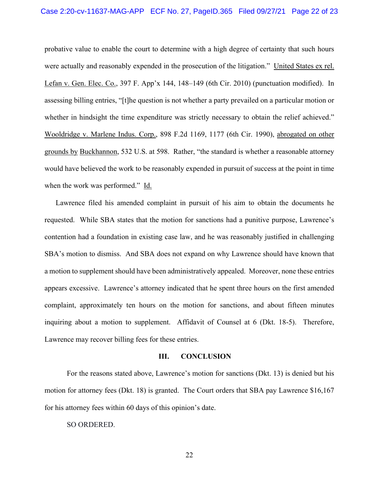probative value to enable the court to determine with a high degree of certainty that such hours were actually and reasonably expended in the prosecution of the litigation." United States ex rel. Lefan v. Gen. Elec. Co., 397 F. App'x 144, 148–149 (6th Cir. 2010) (punctuation modified). In assessing billing entries, "[t]he question is not whether a party prevailed on a particular motion or whether in hindsight the time expenditure was strictly necessary to obtain the relief achieved." Wooldridge v. Marlene Indus. Corp., 898 F.2d 1169, 1177 (6th Cir. 1990), abrogated on other grounds by Buckhannon, 532 U.S. at 598. Rather, "the standard is whether a reasonable attorney would have believed the work to be reasonably expended in pursuit of success at the point in time when the work was performed." Id.

Lawrence filed his amended complaint in pursuit of his aim to obtain the documents he requested. While SBA states that the motion for sanctions had a punitive purpose, Lawrence's contention had a foundation in existing case law, and he was reasonably justified in challenging SBA's motion to dismiss. And SBA does not expand on why Lawrence should have known that a motion to supplement should have been administratively appealed. Moreover, none these entries appears excessive. Lawrence's attorney indicated that he spent three hours on the first amended complaint, approximately ten hours on the motion for sanctions, and about fifteen minutes inquiring about a motion to supplement. Affidavit of Counsel at 6 (Dkt. 18-5). Therefore, Lawrence may recover billing fees for these entries.

#### **III. CONCLUSION**

 For the reasons stated above, Lawrence's motion for sanctions (Dkt. 13) is denied but his motion for attorney fees (Dkt. 18) is granted. The Court orders that SBA pay Lawrence \$16,167 for his attorney fees within 60 days of this opinion's date.

SO ORDERED.